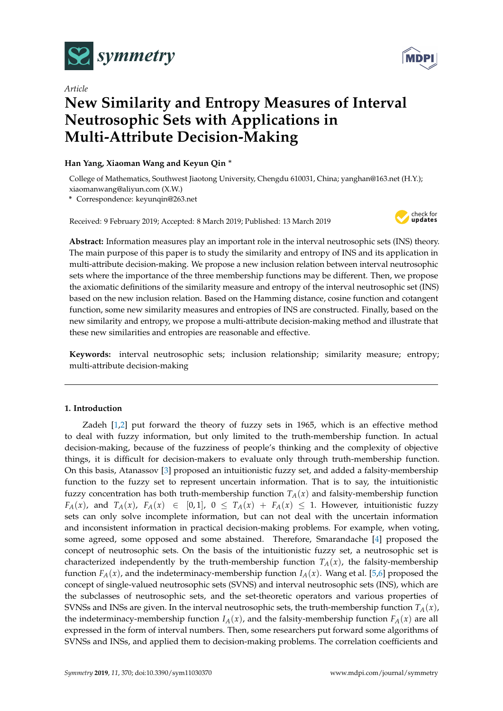

*Article*

# **New Similarity and Entropy Measures of Interval Neutrosophic Sets with Applications in Multi-Attribute Decision-Making**

# **Han Yang, Xiaoman Wang and Keyun Qin** <sup>∗</sup>

College of Mathematics, Southwest Jiaotong University, Chengdu 610031, China; yanghan@163.net (H.Y.); xiaomanwang@aliyun.com (X.W.)

**\*** Correspondence: keyunqin@263.net

Received: 9 February 2019; Accepted: 8 March 2019; Published: 13 March 2019



**Abstract:** Information measures play an important role in the interval neutrosophic sets (INS) theory. The main purpose of this paper is to study the similarity and entropy of INS and its application in multi-attribute decision-making. We propose a new inclusion relation between interval neutrosophic sets where the importance of the three membership functions may be different. Then, we propose the axiomatic definitions of the similarity measure and entropy of the interval neutrosophic set (INS) based on the new inclusion relation. Based on the Hamming distance, cosine function and cotangent function, some new similarity measures and entropies of INS are constructed. Finally, based on the new similarity and entropy, we propose a multi-attribute decision-making method and illustrate that these new similarities and entropies are reasonable and effective.

**Keywords:** interval neutrosophic sets; inclusion relationship; similarity measure; entropy; multi-attribute decision-making

# **1. Introduction**

Zadeh [\[1,](#page-8-0)[2\]](#page-8-1) put forward the theory of fuzzy sets in 1965, which is an effective method to deal with fuzzy information, but only limited to the truth-membership function. In actual decision-making, because of the fuzziness of people's thinking and the complexity of objective things, it is difficult for decision-makers to evaluate only through truth-membership function. On this basis, Atanassov [\[3\]](#page-8-2) proposed an intuitionistic fuzzy set, and added a falsity-membership function to the fuzzy set to represent uncertain information. That is to say, the intuitionistic fuzzy concentration has both truth-membership function  $T_A(x)$  and falsity-membership function *F*<sub>*A</sub>*(*x*), and *T*<sub>*A*</sub>(*x*), *F*<sub>*A*</sub>(*x*)  $\in$  [0,1], 0  $\leq$  *T*<sub>*A*</sub>(*x*) + *F*<sub>*A*</sub>(*x*)  $\leq$  1. However, intuitionistic fuzzy</sub> sets can only solve incomplete information, but can not deal with the uncertain information and inconsistent information in practical decision-making problems. For example, when voting, some agreed, some opposed and some abstained. Therefore, Smarandache [\[4\]](#page-8-3) proposed the concept of neutrosophic sets. On the basis of the intuitionistic fuzzy set, a neutrosophic set is characterized independently by the truth-membership function  $T_A(x)$ , the falsity-membership function  $F_A(x)$ , and the indeterminacy-membership function  $I_A(x)$ . Wang et al. [\[5,](#page-8-4)[6\]](#page-9-0) proposed the concept of single-valued neutrosophic sets (SVNS) and interval neutrosophic sets (INS), which are the subclasses of neutrosophic sets, and the set-theoretic operators and various properties of SVNSs and INSs are given. In the interval neutrosophic sets, the truth-membership function  $T_A(x)$ , the indeterminacy-membership function  $I_A(x)$ , and the falsity-membership function  $F_A(x)$  are all expressed in the form of interval numbers. Then, some researchers put forward some algorithms of SVNSs and INSs, and applied them to decision-making problems. The correlation coefficients and

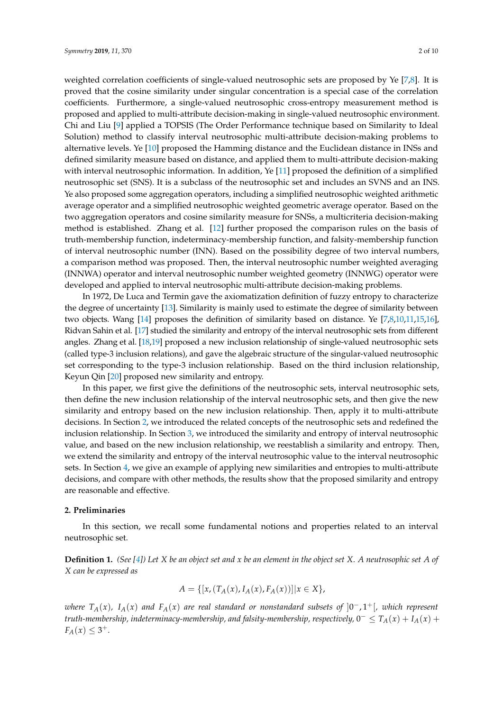weighted correlation coefficients of single-valued neutrosophic sets are proposed by Ye [\[7](#page-9-1)[,8\]](#page-9-2). It is proved that the cosine similarity under singular concentration is a special case of the correlation coefficients. Furthermore, a single-valued neutrosophic cross-entropy measurement method is proposed and applied to multi-attribute decision-making in single-valued neutrosophic environment. Chi and Liu [\[9\]](#page-9-3) applied a TOPSIS (The Order Performance technique based on Similarity to Ideal Solution) method to classify interval neutrosophic multi-attribute decision-making problems to alternative levels. Ye [\[10\]](#page-9-4) proposed the Hamming distance and the Euclidean distance in INSs and defined similarity measure based on distance, and applied them to multi-attribute decision-making with interval neutrosophic information. In addition, Ye [\[11\]](#page-9-5) proposed the definition of a simplified neutrosophic set (SNS). It is a subclass of the neutrosophic set and includes an SVNS and an INS. Ye also proposed some aggregation operators, including a simplified neutrosophic weighted arithmetic average operator and a simplified neutrosophic weighted geometric average operator. Based on the two aggregation operators and cosine similarity measure for SNSs, a multicriteria decision-making method is established. Zhang et al. [\[12\]](#page-9-6) further proposed the comparison rules on the basis of truth-membership function, indeterminacy-membership function, and falsity-membership function of interval neutrosophic number (INN). Based on the possibility degree of two interval numbers, a comparison method was proposed. Then, the interval neutrosophic number weighted averaging (INNWA) operator and interval neutrosophic number weighted geometry (INNWG) operator were developed and applied to interval neutrosophic multi-attribute decision-making problems.

In 1972, De Luca and Termin gave the axiomatization definition of fuzzy entropy to characterize the degree of uncertainty [\[13\]](#page-9-7). Similarity is mainly used to estimate the degree of similarity between two objects. Wang [\[14\]](#page-9-8) proposes the definition of similarity based on distance. Ye [\[7](#page-9-1)[,8](#page-9-2)[,10,](#page-9-4)[11,](#page-9-5)[15,](#page-9-9)[16\]](#page-9-10), Ridvan Sahin et al. [\[17\]](#page-9-11) studied the similarity and entropy of the interval neutrosophic sets from different angles. Zhang et al. [\[18](#page-9-12)[,19\]](#page-9-13) proposed a new inclusion relationship of single-valued neutrosophic sets (called type-3 inclusion relations), and gave the algebraic structure of the singular-valued neutrosophic set corresponding to the type-3 inclusion relationship. Based on the third inclusion relationship, Keyun Qin [\[20\]](#page-9-14) proposed new similarity and entropy.

In this paper, we first give the definitions of the neutrosophic sets, interval neutrosophic sets, then define the new inclusion relationship of the interval neutrosophic sets, and then give the new similarity and entropy based on the new inclusion relationship. Then, apply it to multi-attribute decisions. In Section [2,](#page-1-0) we introduced the related concepts of the neutrosophic sets and redefined the inclusion relationship. In Section [3,](#page-3-0) we introduced the similarity and entropy of interval neutrosophic value, and based on the new inclusion relationship, we reestablish a similarity and entropy. Then, we extend the similarity and entropy of the interval neutrosophic value to the interval neutrosophic sets. In Section [4,](#page-7-0) we give an example of applying new similarities and entropies to multi-attribute decisions, and compare with other methods, the results show that the proposed similarity and entropy are reasonable and effective.

#### <span id="page-1-0"></span>**2. Preliminaries**

In this section, we recall some fundamental notions and properties related to an interval neutrosophic set.

**Definition 1.** *(See [\[4\]](#page-8-3)) Let X be an object set and x be an element in the object set X. A neutrosophic set A of X can be expressed as*

$$
A = \{ [x, (T_A(x), I_A(x), F_A(x))]| x \in X \},\
$$

*where TA*(*x*)*, IA*(*x*) *and FA*(*x*) *are real standard or nonstandard subsets of* ]0 <sup>−</sup>, 1+[*, which represent truth-membership, indeterminacy-membership, and falsity-membership, respectively,*  $0^- \le T_A(x) + I_A(x) + I_A(x)$  $F_A(x) \leq 3^+$ .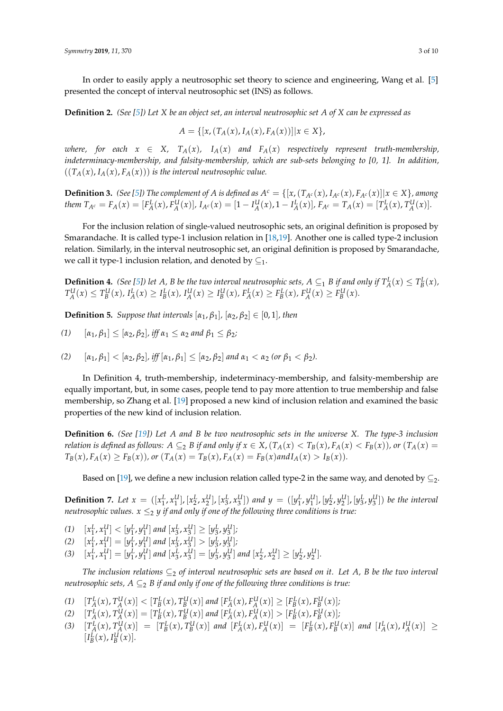In order to easily apply a neutrosophic set theory to science and engineering, Wang et al. [\[5\]](#page-8-4) presented the concept of interval neutrosophic set (INS) as follows.

**Definition 2.** *(See [\[5\]](#page-8-4)) Let X be an object set, an interval neutrosophic set A of X can be expressed as*

$$
A = \{ [x, (T_A(x), I_A(x), F_A(x))] | x \in X \},\
$$

*where, for each*  $x \in X$ ,  $T_A(x)$ ,  $I_A(x)$  and  $F_A(x)$  respectively represent truth-membership, *indeterminacy-membership, and falsity-membership, which are sub-sets belonging to [0, 1]. In addition,*  $((T_A(x), I_A(x), F_A(x)))$  *is the interval neutrosophic value.* 

**Definition 3.** (See [\[5\]](#page-8-4)) The complement of A is defined as  $A^c = \{ [x, (T_{A^c}(x), I_{A^c}(x), F_{A^c}(x)] | x \in X \}$ , among them  $T_{A^c} = F_A(x) = [F_A^L(x), F_A^U(x)]$ ,  $I_{A^c}(x) = [1 - I_A^U(x), 1 - I_A^L(x)]$ ,  $F_{A^c} = T_A(x) = [T_A^L(x), T_A^U(x)]$ .

For the inclusion relation of single-valued neutrosophic sets, an original definition is proposed by Smarandache. It is called type-1 inclusion relation in [\[18](#page-9-12)[,19\]](#page-9-13). Another one is called type-2 inclusion relation. Similarly, in the interval neutrosophic set, an original definition is proposed by Smarandache, we call it type-1 inclusion relation, and denoted by  $\subseteq_1$ .

**Definition 4.** (See [\[5\]](#page-8-4)) let A, B be the two interval neutrosophic sets,  $A \subseteq_1 B$  if and only if  $T_A^L(x) \leq T_B^L(x)$ ,  $T_A^U(x) \leq T_B^U(x)$ ,  $I_A^L(x) \geq I_B^L(x)$ ,  $I_A^U(x) \geq I_B^U(x)$ ,  $F_A^L(x) \geq F_B^L(x)$ ,  $F_A^U(x) \geq F_B^U(x)$ .

**Definition 5.** *Suppose that intervals*  $[\alpha_1, \beta_1]$ *,*  $[\alpha_2, \beta_2] \in [0, 1]$ *, then* 

$$
(1) \quad [\alpha_1, \beta_1] \leq [\alpha_2, \beta_2], \text{ iff } \alpha_1 \leq \alpha_2 \text{ and } \beta_1 \leq \beta_2;
$$

(2) 
$$
[\alpha_1, \beta_1] < [\alpha_2, \beta_2],
$$
 iff  $[\alpha_1, \beta_1] \leq [\alpha_2, \beta_2]$  and  $\alpha_1 < \alpha_2$  (or  $\beta_1 < \beta_2$ ).

In Definition 4, truth-membership, indeterminacy-membership, and falsity-membership are equally important, but, in some cases, people tend to pay more attention to true membership and false membership, so Zhang et al. [\[19\]](#page-9-13) proposed a new kind of inclusion relation and examined the basic properties of the new kind of inclusion relation.

**Definition 6.** *(See [\[19\]](#page-9-13)) Let A and B be two neutrosophic sets in the universe X. The type-3 inclusion* relation is defined as follows:  $A \subseteq_2 B$  if and only if  $x \in X$ ,  $(T_A(x) < T_B(x)$ ,  $F_A(x) < F_B(x)$ ), or  $(T_A(x) =$  $T_B(x), F_A(x) \ge F_B(x)$ , or  $(T_A(x) = T_B(x), F_A(x) = F_B(x)$  and  $I_A(x) > I_B(x)$ .

Based on [\[19\]](#page-9-13), we define a new inclusion relation called type-2 in the same way, and denoted by  $\subseteq$ 2.

**Definition 7.** Let  $x = ([x_1^L, x_1^U], [x_2^L, x_2^U], [x_3^L, x_3^U])$  and  $y = ([y_1^L, y_1^U], [y_2^L, y_2^U], [y_3^L, y_3^U])$  be the interval *neutrosophic values.*  $x \leq_2 y$  *if and only if one of the following three conditions is true:* 

- $y_1^L, y_2^L, y_3^L, y_4^L, y_5^L, y_6^L, y_7^L, y_9^L, y_9^L, y_9^L, y_{10}^L, y_{11}^L, y_{12}^L, y_{13}^L, y_{14}^L, y_{15}^L, y_{16}^L, y_{17}^L, y_{18}^L, y_{19}^L, y_{10}^L, y_{11}^L, y_{12}^L, y_{13}^L, y_{15}^L, y_{16}^L, y_{17}^L, y_{18}^L, y_{19}^L, y_{10}^L,$  $1^{1}$   $\sim$   $1^{1}$   $3^{1}$   $1^{1}$   $1^{1}$   $1^{1}$   $1^{1}$   $1^{1}$   $3^{1}$   $3^{1}$   $3^{1}$   $3^{1}$   $3^{1}$   $3^{1}$
- (2)  $[x_1^L, x_1^U] = [y_1^L, y_1^U]$  and  $[x_3^L, x_3^U] > [y_3^L, y_3^U]$ ;
- (3)  $[x_1^L, x_1^U] = [y_1^L, y_1^U]$  and  $[x_3^L, x_3^U] = [y_3^L, y_3^U]$  and  $[x_2^L, x_2^U] \geq [y_2^L, y_2^U]$ .

*The inclusion relations*  $\subseteq_2$  *of interval neutrosophic sets are based on it. Let A, B be the two interval neutrosophic sets, A* ⊆<sub>2</sub> *B if and only if one of the following three conditions is true:* 

- (1)  $[T_A^L(x), T_A^U(x)] < [T_B^L(x), T_B^U(x)]$  and  $[F_A^L(x), F_A^U(x)] \geq [F_B^L(x), F_B^U(x)]$ ;  $A^{(\lambda)}$ ,  $A^{(\lambda)}$   $\leq$   $A^{(\lambda)}$   $\leq$   $B^{(\lambda)}$ ,  $B^{(\lambda)}$   $\leq$   $B^{(\lambda)}$ ,  $B^{(\lambda)}$
- (2)  $[T_A^L(x), T_A^U(x)] = [T_B^L(x), T_B^U(x)]$  and  $[F_A^L(x), F_A^U(x)] > [F_B^L(x), F_B^U(x)]$ ;
- (3)  $[T_A^L(x), T_A^U(x)] = [T_B^L(x), T_B^U(x)]$  and  $[F_A^L(x), F_A^U(x)] = [F_B^L(x), F_B^U(x)]$  and  $[I_A^L(x), I_A^U(x)] \ge$  $[I_B^L(x), I_B^U(x)].$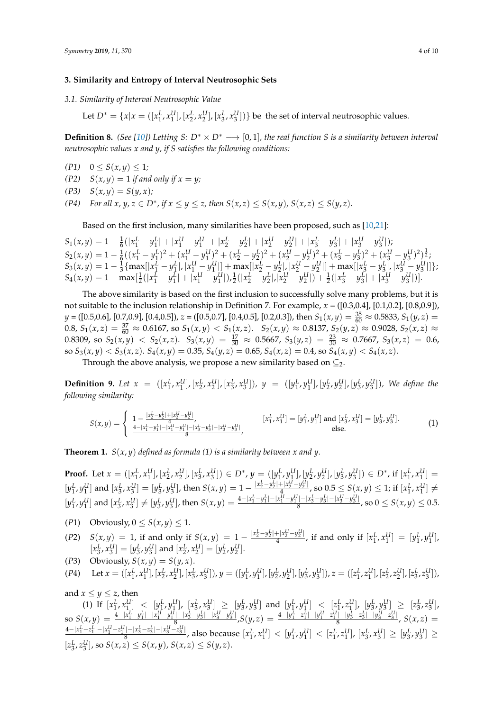#### <span id="page-3-0"></span>**3. Similarity and Entropy of Interval Neutrosophic Sets**

*3.1. Similarity of Interval Neutrosophic Value*

Let  $D^* = \{x | x = ([x_1^L, x_1^U], [x_2^L, x_2^U], [x_3^L, x_3^U])\}$  be the set of interval neutrosophic values.

**Definition 8.** *(See [\[10\]](#page-9-4))* Letting *S*:  $D^* \times D^* \longrightarrow [0, 1]$ *, the real function S* is a similarity between interval *neutrosophic values x and y, if S satisfies the following conditions:*

- $(P1)$   $0 \le S(x,y) \le 1;$
- $(P2)$  *S(x, y)* = 1 *if and only if x = y;*
- $(P3)$   $S(x,y) = S(y,x)$ ;

*(P4) For all x, y, z*  $\in$  *D*<sup>\*</sup>, if  $x \le y \le z$ , then  $S(x, z) \le S(x, y)$ ,  $S(x, z) \le S(y, z)$ .

Based on the first inclusion, many similarities have been proposed, such as [\[10,](#page-9-4)[21\]](#page-9-15):

 $S_1(x,y) = 1 - \frac{1}{6}(|x_1^L - y_1^L| + |x_1^U - y_1^U| + |x_2^L - y_2^L| + |x_2^U - y_2^U| + |x_3^L - y_3^L| + |x_3^U - y_3^U|);$  $S_2(x,y) = 1 - \frac{1}{6}((x_1^L - y_1^L)^2 + (x_1^U - y_1^U)^2 + (x_2^L - y_2^L)^2 + (x_2^U - y_2^U)^2 + (x_3^L - y_3^L)^2 + (x_3^U - y_3^U)^2)^{\frac{1}{2}}$  $S_3(x,y) = 1 - \frac{1}{3} \{ \max[|x_1^L - y_1^L|, |x_1^U - y_1^U|] + \max[|x_2^L - y_2^L|, |x_2^U - y_2^U|] + \max[|x_3^L - y_3^L|, |x_3^U - y_3^U|] \};$  $S_4(x,y) = 1 - \max[\frac{1}{2}(|x_1^L - y_1^L| + |x_1^U - y_1^U|), \frac{1}{2}(|x_2^L - y_2^L|, |x_2^U - y_2^U|) + \frac{1}{2}(|x_3^L - y_3^L| + |x_3^U - y_3^U|)].$ 

The above similarity is based on the first inclusion to successfully solve many problems, but it is not suitable to the inclusion relationship in Definition 7. For example, *x* = ([0.3,0.4], [0.1,0.2], [0.8,0.9]), *y* = ([0.5,0.6], [0.7,0.9], [0.4,0.5]), *z* = ([0.5,0.7], [0.4,0.5], [0.2,0.3]), then  $S_1(x,y) = \frac{35}{60} ≈ 0.5833$ ,  $S_1(y,z) =$ 0.8,  $S_1(x,z) = \frac{37}{60} \approx 0.6167$ , so  $S_1(x,y) < S_1(x,z)$ .  $S_2(x,y) \approx 0.8137$ ,  $S_2(y,z) \approx 0.9028$ ,  $S_2(x,z) \approx 0.9028$ 0.8309, so  $S_2(x,y)$  <  $S_2(x,z)$ .  $S_3(x,y) = \frac{17}{30} \approx 0.5667$ ,  $S_3(y,z) = \frac{23}{30} \approx 0.7667$ ,  $S_3(x,z) = 0.6$ , so  $S_3(x,y) < S_3(x,z)$ .  $S_4(x,y) = 0.35$ ,  $S_4(y,z) = 0.65$ ,  $S_4(x,z) = 0.4$ , so  $S_4(x,y) < S_4(x,z)$ .

Through the above analysis, we propose a new similarity based on  $\subseteq$ <sub>2</sub>.

**Definition 9.** Let  $x = ([x_1^L, x_1^U], [x_2^L, x_2^U], [x_3^L, x_3^U]), y = ([y_1^L, y_1^U], [y_2^L, y_2^U], [y_3^L, y_3^U]),$  We define the *following similarity:*

$$
S(x,y) = \begin{cases} 1 - \frac{|x_2^L - y_2^L| + |x_2^L - y_2^L|}{4}, & [x_1^L, x_1^U] = [y_1^L, y_1^U] \text{ and } [x_3^L, x_3^U] = [y_3^L, y_3^U].\\ \frac{4 - |x_1^L - y_1^L| - |x_1^U - y_1^U| - |x_3^L - y_3^L| - |x_3^U - y_3^U|}{8}, & \text{else.} \end{cases}
$$
(1)

**Theorem 1.** *S*(*x*, *y*) *defined as formula (1) is a similarity between x and y.*

**Proof.** Let  $x = ([x_1^L, x_1^U], [x_2^L, x_2^U], [x_3^L, x_3^U]) \in D^*$ ,  $y = ([y_1^L, y_1^U], [y_2^L, y_2^U], [y_3^L, y_3^U]) \in D^*$ , if  $[x_1^L, x_1^U] =$ 1  $\left[ \frac{\mu_2}{\mu_3}, \frac{\mu_3}{\mu_3}, \frac{\mu_1}{\mu_3} \right]$   $\left[ \begin{array}{c} D \\ D \end{array}, y \right] = \left[ \begin{array}{c} \frac{\mu_1}{\mu_1}, \frac{\mu_1}{\mu_1} \\ \frac{\mu_2}{\mu_1}, \frac{\mu_2}{\mu_2}, \frac{\mu_3}{\mu_3}, \frac{\mu_3}{\mu_3} \right] \right] \left[ \begin{array}{c} D \\ D \end{array}, \begin{array}{c} \frac{\mu_1}{\mu_1}, \frac{\mu_1}{\mu_1} \end{array} \right]$  $[y_1^L, y_1^U]$  and  $[x_3^L, x_3^U] = [y_3^L, y_3^U]$ , then  $S(x, y) = 1 - \frac{|x_2^L - y_2^U| + |x_2^U - y_3^U|}{4}$  $\frac{4}{3} \cdot \frac{4}{1} \cdot \frac{4}{1} \cdot \frac{4}{1} \cdot \frac{4}{1} \cdot \frac{4}{1} \cdot \frac{4}{1} \cdot \frac{4}{1} \cdot \frac{4}{1} \cdot \frac{4}{1} \cdot \frac{4}{1} \cdot \frac{4}{1} \cdot \frac{4}{1} \cdot \frac{4}{1} \cdot \frac{4}{1} \cdot \frac{4}{1} \cdot \frac{4}{1} \cdot \frac{4}{1} \cdot \frac{4}{1} \cdot \frac{4}{1} \cdot \frac{4}{1} \cdot \frac{4}{1} \cdot \frac{4}{1} \cdot \frac{4}{1} \cdot \frac{4$  $[y_1^L, y_1^U]$  and  $[x_3^L, x_3^U] \neq [y_3^L, y_3^U]$ , then  $S(x, y) = \frac{4-|x_1^L - y_1^L| - |x_1^U - y_1^U| - |x_3^L - y_3^L| - |x_3^U - y_3^U|}{8}$  $\frac{|-\|x_3-y_3\|-\|x_3-y_3\|}{8}$ , so  $0 \le S(x,y) \le 0.5$ .

- (*P*1) Obviously,  $0 \le S(x, y) \le 1$ .
- $(2)^{x}$   $S(x,y) = 1$ , if and only if  $S(x,y) = 1 \frac{|x_2^L y_2^L| + |x_2^U y_2^U|}{4}$  $\frac{1}{4} \frac{[x_2^2 - y_2^2]}{4}$ , if and only if  $[x_1^L, x_1^U] = [y_1^L, y_1^U]$ ,  $[x_3^L, x_3^U] = [y_3^L, y_3^U]$  and  $[x_2^L, x_2^U] = [y_2^L, y_2^U]$ .
- (*P*3) Obviously,  $S(x, y) = S(y, x)$ .
- (P4) Let  $x = ([x_1^L, x_1^U], [x_2^L, x_2^U], [x_3^L, x_3^U]), y = ([y_1^L, y_1^U], [y_2^L, y_2^U], [y_3^L, y_3^U]), z = ([z_1^L, z_1^U], [z_2^L, z_2^U], [z_3^L, z_3^U]),$

and  $x \leq y \leq z$ , then (1) If  $[x_1^L, x_1^U] < [y_1^L, y_1^U]$ ,  $[x_3^L, x_3^U] \geq [y_3^L, y_3^U]$  and  $[y_1^L, y_1^U] < [z_1^L, z_1^U]$ ,  $[y_3^L, y_3^U] \geq [z_3^L, z_3^U]$ ,  $\text{so } S(x,y) = \frac{4-|x_1^L-y_1^L|-|x_1^U-y_1^U|-|x_3^L-y_3^L|-|x_3^U-y_3^U|}{8}$  $\frac{S(x,y)}{S(x,y)} = \frac{S(x,y)}{S(x,y)} + \frac{S(x,y)}{S(x,y)} = \frac{S(x,y)}{S(x,y)} + \frac{S(x,y)}{S(x,y)} + \frac{S(x,y)}{S(x,y)} + \frac{S(x,y)}{S(x,y)} + \frac{S(x,y)}{S(x,y)}$  $\frac{S^{(-|y_3-z_3|-|y_3-z_3|)}}{S^{(x,z)}}$ , S(x, z) =  $\frac{4-|x_1^L-z_1^L|-|x_1^U-z_1^U|-|x_3^L-z_3^L|-|x_3^U-z_3^U|}{}$  $\frac{[y_1-x_3-z_3]-[x_3-z_3]}{8}$ , also because  $[x_1^L, x_1^U] < [y_1^L, y_1^U] < [z_1^L, z_1^U]$ ,  $[x_3^L, x_3^U] \geq [y_3^L, y_3^U] \geq 0$  $[z_3^L, z_3^U]$ , so  $S(x, z) \le S(x, y)$ ,  $S(x, z) \le S(y, z)$ .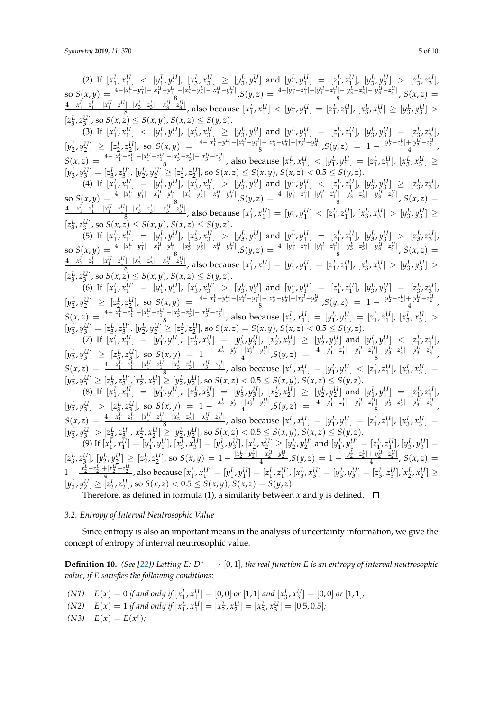(2) If  $[x_1^L, x_1^U] < [y_1^L, y_1^U]$ ,  $[x_3^L, x_3^U] \geq [y_3^L, y_3^U]$  and  $[y_1^L, y_1^U] = [z_1^L, z_1^U]$ ,  $[y_3^L, y_3^U] > [z_3^L, z_3^U]$ ,  $\text{so } S(x,y) = \frac{4-|x_1^L-y_1^L|-|x_1^U-y_1^U|-|x_3^L-y_3^L|-|x_3^U-y_3^U|}{8}$  $S(y,z)=\frac{4-|y_1^L-z_1^L|-|y_1^U-z_1^L|-|y_3^L-z_3^L|-|y_3^L-z_3^L|-|y_3^L-z_3^L|}{8}$  $\frac{S^{(-|y_3-z_3|-|y_3-z_3|)}}{S}$ ,  $S(x,z)$  =  $\frac{4-|x_1^L-z_1^L|-|x_1^U-z_1^U|-|x_3^L-z_3^L|-|x_3^U-z_3^U|}$  $\frac{[y_1-x_3-z_3-1]x_3-z_3}{8}$ , also because  $[x_1^L, x_1^U] < [y_1^L, y_1^U] = [z_1^L, z_1^U]$ ,  $[x_3^L, x_3^U] \geq [y_3^L, y_3^U] >$  $[z_3^L, z_3^U]$ , so  $S(x, z) \leq S(x, y)$ ,  $S(x, z) \leq S(y, z)$ . 3 3 (3) If [*x L* 1 , *x U* 1 ] < [*y L* 1 , *y U* 1 ], [*x L* 3 , *x U* 3 ] ≥ [*y L* 3 , *y U* 3 ] and [*y L* 1 , *y U* 1 ] = [*z L* 1 , *z U* 1 ], [*y L* 3 , *y U* 3 ] = [*z L* 3 , *z U* 3 ],  $[y_2^L, y_2^U] \geq [z_2^L, z_2^U]$ , so  $S(x, y) = \frac{4-|x_1^L - y_1^U| - |x_1^U - y_1^U| - |x_3^L - y_3^L| - |x_3^U - y_3^U|}{8}$  $\frac{S^{1}[-|x_{3}^{L}-y_{3}^{L}|-|x_{3}^{U}-y_{3}^{U}|}{4}$ ,  $S(y,z) = 1 - \frac{|y_{2}^{L}-z_{2}^{L}|+|y_{2}^{U}-z_{2}^{U}|}{4}$  $\frac{1+y_2-2}{4}$ ,  $S(x,z) = \frac{4-|x_1^L-z_1^L|-|x_1^U-z_1^U|-|x_3^L-z_3^L|-|x_3^U-z_3^U|} {8}$  $\frac{y_1 - x_3 - z_3 - x_4}{s}$ , also because  $[x_1^L, x_1^U] < [y_1^L, y_1^U] = [z_1^L, z_1^U]$ ,  $[x_3^L, x_3^U] \ge$  $[y_3^L, y_3^U] = [z_3^L, z_3^U], [y_2^L, y_2^U] \ge [z_2^L, z_2^U],$  so  $S(x, z) \le S(x, y), S(x, z) < 0.5 \le S(y, z)$ . (4) If  $[x_1^L, x_1^U] = [y_1^L, y_1^U]$ ,  $[x_3^L, x_3^U] > [y_3^L, y_3^U]$  and  $[y_1^L, y_1^U] < [z_1^L, z_1^U]$ ,  $[y_3^L, y_3^U] \geq [z_3^L, z_3^U]$ ,  $\text{so } S(x,y) = \frac{4-|x_1^L-y_1^L|-|x_1^U-y_1^U|-|x_3^L-y_3^L|-|x_3^U-y_3^U|}{8}$  $\frac{S^{[t]} - |x_2^L - y_3^L| - |x_3^U - y_3^U|}{8}$ ,  $S(y,z) = \frac{4 - |y_1^L - z_1^L| - |y_1^U - z_1^U| - |y_3^L - z_3^L| - |y_3^U - z_3^U|}{8}$  $\frac{S^{(-|y_3-z_3|-|y_3-z_3|)}}{S^{(x,z)}}$ , S(x, z) =  $\frac{4-|x_1^L-z_1^L|-|x_1^U-z_1^U|-|x_3^L-z_3^L|-|x_3^U-z_3^U|}{}$  $\frac{1-|x_3-z_3|-|x_3-z_3|}{8}$ , also because  $[x_1^L, x_1^U] = [y_1^L, y_1^U] < [z_1^L, z_1^U]$ ,  $[x_3^L, x_3^U] > [y_3^L, y_3^U] \ge$  $[z_3^L, z_3^U]$ , so  $S(x, z) \le S(x, y)$ ,  $S(x, z) \le S(y, z)$ . (5) If  $[x_1^L, x_1^U] = [y_1^L, y_1^U]$ ,  $[x_3^L, x_3^U] > [y_3^L, y_3^U]$  and  $[y_1^L, y_1^U] = [z_1^L, z_1^U]$ ,  $[y_3^L, y_3^U] > [z_3^L, z_3^U]$ ,  $\text{so } S(x,y) = \frac{4-|x_1^L-y_1^L|-|x_1^U-y_1^U|-|x_3^L-y_3^L|-|x_3^U-y_3^U|}{8}$  $\frac{S(x,y)}{S(x,y)}[1 - |x_3^L - y_3^U|]$  ,  $S(y,z) = \frac{4 - |y_1^L - z_1^L| - |y_1^U - z_1^U| - |y_3^L - z_3^L| - |y_3^U - z_3^U|}{8}$  $S^{(-|y_3-z_3|-|y_3-z_3|)}$ ,  $S(x,z) =$  $\frac{4-|x_1^L-z_1^L|-|x_1^U-z_1^U|-|x_3^L-z_3^L|-|x_3^U-z_3^U|}$  $\frac{[x_1^L, x_3^L, x_3^L, x_3^L, x_4^L]}{8}$ , also because  $[x_1^L, x_1^U] = [y_1^L, y_1^U] = [z_1^L, z_1^U], [x_3^L, x_3^U] > [y_3^L, y_3^U] > 0$  $[z_3^L, z_3^U]$ , so  $S(x, z) \le S(x, y)$ ,  $S(x, z) \le S(y, z)$ . (6) If  $[x_1^L, x_1^U] = [y_1^L, y_1^U]$ ,  $[x_3^L, x_3^U] > [y_3^L, y_3^U]$  and  $[y_1^L, y_1^U] = [z_1^L, z_1^U]$ ,  $[y_3^L, y_3^U] = [z_3^L, z_3^U]$ ,  $[y_2^L, y_2^U] \geq [z_2^L, z_2^U]$ , so  $S(x, y) = \frac{4-|x_1^L - y_1^U| - |x_1^U - y_1^U| - |x_3^L - y_3^L| - |x_3^U - y_3^U|}{8}$  $\frac{S^{1}[-|x_{3}^{L}-y_{3}^{L}|-|x_{3}^{U}-y_{3}^{U}|}{4}$ ,  $S(y,z) = 1 - \frac{|y_{2}^{L}-z_{2}^{L}|+|y_{2}^{U}-z_{2}^{U}|}{4}$  $\frac{192-2}{4}$ ,  $S(x,z) = \frac{4-|x_1^L-z_1^L|-|x_1^U-z_1^U|-|x_3^L-z_3^L|-|x_3^U-z_3^U|} {8}$  $\frac{1-|x_3-z_3| - |x_3-z_3|}{8}$ , also because  $[x_1^L, x_1^U] = [y_1^L, y_1^U] = [z_1^L, z_1^U]$ ,  $[x_3^L, x_3^U] >$  $[y_3^L, y_3^U] = [z_3^L, z_3^U], [y_2^L, y_2^U] \ge [z_2^L, z_2^U],$  so  $S(x, z) = S(x, y), S(x, z) < 0.5 \le S(y, z)$ . (7) If  $[x_1^L, x_1^U] = [y_1^L, y_1^U]$ ,  $[x_3^L, x_3^U] = [y_3^L, y_3^U]$ ,  $[x_2^L, x_2^U] \geq [y_2^L, y_2^U]$  and  $[y_1^L, y_1^U] < [z_1^L, z_1^U]$ ,  $[y_3^L, y_3^U] \geq [z_3^L, z_3^U]$ , so  $S(x, y) = 1 - \frac{|x_2^L - y_2^L| + |x_2^U - y_3^U|}{4}$  $\frac{4-|y_1^L-z_1^L|-|y_1^L-z_1^L|-|y_1^L-z_1^L|-|y_3^L-z_3^L|-|y_3^L-z_3^L|} {8}$  $\frac{1}{8}$   $\frac{193}{8}$   $\frac{231}{193}$   $\frac{231}{3}$  $S(x,z) = \frac{4-|x_1^L-z_1^L|-|x_1^U-z_1^U|-|x_3^L-z_3^L|-|x_3^U-z_3^U|} {8}$  $\frac{y_1 - x_3 - z_3 - x_4}{s}$ , also because  $[x_1^L, x_1^U] = [y_1^L, y_1^U] < [z_1^L, z_1^U]$ ,  $[x_3^L, x_3^U] =$  $[y_3^L, y_3^U] \ge [z_3^L, z_3^U], [x_2^L, x_2^U] \ge [y_2^L, y_2^U],$  so  $S(x, z) < 0.5 \le S(x, y)$ ,  $S(x, z) \le S(y, z)$ . (8) If  $[x_1^L, x_1^U] = [y_1^L, y_1^U]$ ,  $[x_3^L, x_3^U] = [y_3^L, y_3^U]$ ,  $[x_2^L, x_2^U] \geq [y_2^L, y_2^U]$  and  $[y_1^L, y_1^U] = [z_1^L, z_1^U]$ ,  $[y_3^L, y_3^U] > [z_3^L, z_3^U]$ , so  $S(x, y) = 1 - \frac{|x_2^L - y_2^L| + |x_2^U - y_3^U|}{4}$  $\frac{4-|y_1^L-z_1^L|-|y_1^L-z_1^L|-|y_1^L-z_1^L|-|y_3^L-z_3^L|-|y_3^L-z_3^L|} {8}$  $\frac{1}{8}$   $\frac{193}{8}$   $\frac{231}{193}$   $\frac{231}{3}$  $S(x,z) = \frac{4-|x_1^L-z_1^L|-|x_1^U-z_1^U|-|x_3^L-z_3^L|-|x_3^U-z_3^U|} {8}$  $[y_1^L, y_1^U] = [x_1^L, z_1^U, y_1^U] = [y_1^L, y_1^U] = [z_1^L, z_1^U], [x_2^L, x_3^U] =$  $[y_3^L, y_3^U] > [z_3^L, z_3^U], [x_2^L, x_2^U] \ge [y_2^L, y_2^U],$  so  $S(x, z) < 0.5 \le S(x, y)$ ,  $S(x, z) \le S(y, z)$ . (9) If  $[x_1^L, x_1^U] = [y_1^L, y_1^U]$ ,  $[x_3^L, x_3^U] = [y_3^L, y_3^U]$ ,  $[x_2^L, x_2^U] \geq [y_2^L, y_2^U]$  and  $[y_1^L, y_1^U] = [z_1^L, z_1^U]$ ,  $[y_3^L, y_3^U] =$  $[z_3^L, z_3^U], [y_2^L, y_2^U] \geq [z_2^L, z_2^U],$  so  $S(x, y) = 1 - \frac{|x_2^L - y_2^L| + |x_2^U - y_2^U|}{4}$  $\frac{1+|x_{2}^{U}-y_{2}^{U}|}{4}$ ,S $(y,z)=1-\frac{|y_{2}^{L}-z_{2}^{L}|+|y_{2}^{U}-z_{2}^{U}|}{4}$  $S(x, z) =$  $1-\frac{|x_2^L-z_2^L|+|x_2^U-z_2^U|}{4}$  $\frac{[1+1]x_2^2-2_2^2|}{4}$ , also because  $[x_1^L, x_1^U]=[y_1^L, y_1^U]=[z_1^L, z_1^U], [x_3^L, x_3^U]=[y_3^L, y_3^U]=[z_3^L, z_3^U], [x_2^L, x_2^U]\geq 0$  $[y_2^L, y_2^U] \geq [z_2^L, z_2^U]$ , so  $S(x, z) < 0.5 \leq S(x, y)$ ,  $S(x, z) = S(y, z)$ . Therefore, as defined in formula (1), a similarity between *x* and *y* is defined.  $\square$ 

## *3.2. Entropy of Interval Neutrosophic Value*

Since entropy is also an important means in the analysis of uncertainty information, we give the concept of entropy of interval neutrosophic value.

**Definition 10.** *(See [\[22\]](#page-9-16))* Letting  $E: D^* \longrightarrow [0, 1]$ *, the real function*  $E$  *is an entropy of interval neutrosophic value, if E satisfies the following conditions:*

- *(N1)*  $E(x) = 0$  *if and only if*  $[x_1^L, x_1^U] = [0, 0]$  *or*  $[1, 1]$  *and*  $[x_3^L, x_3^U] = [0, 0]$  *or*  $[1, 1]$ *;*
- (N2)  $E(x) = 1$  *if and only if*  $[x_1^L, x_1^U] = [x_2^L, x_2^U] = [x_3^L, x_3^U] = [0.5, 0.5]$ ;
- $E(x) = E(x^c)$ ;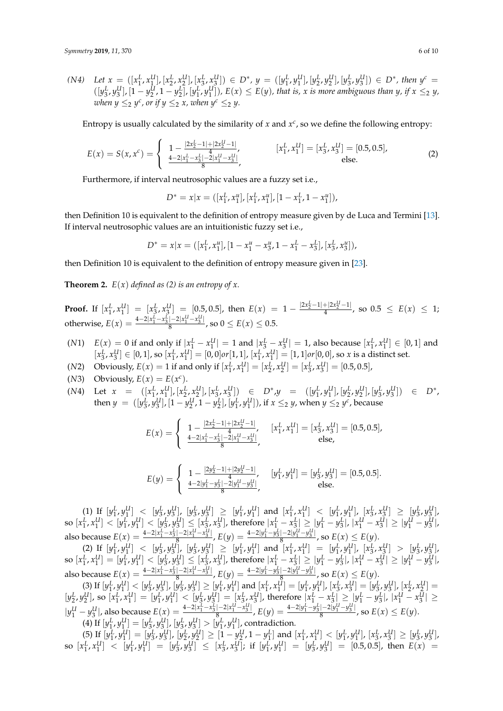$(N4)$  Let  $x = ([x_1^L, x_1^U], [x_2^L, x_2^U], [x_3^L, x_3^U]) \in D^*$ ,  $y = ([y_1^L, y_1^U], [y_2^L, y_2^U], [y_3^L, y_3^U]) \in D^*$ , then  $y^c =$  $([y_3^L, y_3^U], [1 - y_2^U, 1 - y_2^L], [y_1^L, y_1^U]), E(x) \le E(y)$ , that is, x is more ambiguous than y, if  $x \le 2$  y, *when*  $y \leq_2 y^c$ , or if  $y \leq_2 x$ , when  $y^c \leq_2 y$ .

Entropy is usually calculated by the similarity of  $x$  and  $x^c$ , so we define the following entropy:

$$
E(x) = S(x, x^c) = \begin{cases} 1 - \frac{|2x_2^L - 1| + |2x_2^U - 1|}{4}, & [x_1^L, x_1^U] = [x_3^L, x_3^U] = [0.5, 0.5],\\ \frac{4 - 2|x_1^L - x_3^L| - 2|x_1^U - x_3^U|}{8}, & \text{else.} \end{cases}
$$
(2)

Furthermore, if interval neutrosophic values are a fuzzy set i.e.,

$$
D^* = x | x = ([x_1^L, x_1^u], [x_1^L, x_1^u], [1 - x_1^L, 1 - x_1^u]),
$$

then Definition 10 is equivalent to the definition of entropy measure given by de Luca and Termini [\[13\]](#page-9-7). If interval neutrosophic values are an intuitionistic fuzzy set i.e.,

$$
D^* = x | x = ([x_1^L, x_1^u], [1 - x_1^u - x_3^u, 1 - x_1^L - x_3^L], [x_3^L, x_3^u]),
$$

then Definition 10 is equivalent to the definition of entropy measure given in [\[23\]](#page-9-17).

**Theorem 2.**  $E(x)$  *defined as (2) is an entropy of x.* 

**Proof.** If  $[x_1^L, x_1^U] = [x_3^L, x_3^U] = [0.5, 0.5]$ , then  $E(x) = 1 - \frac{|2x_2^L - 1| + |2x_2^U - 1|}{4}$ , so  $0.5 \le E(x) \le 1$ ; otherwise,  $E(x) = \frac{4-2|x_1^L - x_3^L| - 2|x_1^U - x_3^U|}{8}$  $\frac{|z_1z_4 - x_3|}{8}$ , so  $0 \le E(x) \le 0.5$ .

- $E(x) = 0$  if and only if  $|x_1^L x_1^U| = 1$  and  $|x_3^L x_3^U| = 1$ , also because  $[x_1^L, x_1^U] \in [0, 1]$  and  $[x_3^L, x_3^U] \in [0,1]$ , so  $[x_1^L, x_1^U] = [0,0]$  or  $[1,1]$ ,  $[x_1^L, x_1^U] = [1,1]$  or  $[0,0]$ , so x is a distinct set.
- (*N*2) Obviously,  $E(x) = 1$  if and only if  $[x_1^L, x_1^U] = [x_2^L, x_2^U] = [x_3^L, x_3^U] = [0.5, 0.5]$ ,
- (*N*3) Obviously,  $E(x) = E(x^c)$ .
- (N4) Let  $x = ([x_1^L, x_1^U], [x_2^L, x_2^U], [x_3^L, x_3^U]) \in D^*$ ,  $y = ([y_1^L, y_1^U], [y_2^L, y_2^U], [y_3^L, y_3^U]) \in D^*$ , then  $y = ([y_3^L, y_3^U], [1 - y_2^U, 1 - y_2^L], [y_1^L, y_1^U]),$  if  $x \leq_2 y$ , when  $y \leq_2 y^c$ , because

$$
E(x) = \begin{cases} 1 - \frac{|2x_2^L - 1| + |2x_2^U - 1|}{4}, & [x_1^L, x_1^U] = [x_3^L, x_3^U] = [0.5, 0.5],\\ \frac{4 - 2|x_1^L - x_3^L| - 2|x_1^U - x_3^U|}{8}, & \text{else,} \end{cases}
$$

$$
E(y) = \begin{cases} 1 - \frac{|2y_2^L - 1| + |2y_2^U - 1|}{4}, & [y_1^L, y_1^U] = [y_3^L, y_3^U] = [0.5, 0.5].\\ \frac{4 - 2|y_1^L - y_3^L| - 2|y_1^U - y_3^U|}{8}, & \text{else.} \end{cases}
$$

 $(1)$  If  $[y_1^L, y_1^U] < [y_3^L, y_3^U]$ ,  $[y_3^L, y_3^U] \geq [y_1^L, y_1^U]$  and  $[x_1^L, x_1^U] < [y_1^L, y_1^U]$ ,  $[x_3^L, x_3^U] \geq [y_3^L, y_3^U]$ , so  $[x_1^L, x_1^U] < [y_1^L, y_1^U] < [y_3^L, y_3^U] \le [x_3^L, x_3^U]$ , therefore  $|x_1^L - x_3^L| \ge |y_1^L - y_3^L|$ ,  $|x_1^U - x_3^U| \ge |y_1^U - y_3^U|$ , also because  $E(x) = \frac{4-2|x_1^L - x_3^L| - 2|x_1^L - x_3^U|}{8}$  $\frac{|{-2|x_1^U - x_3^U|}}{8}$ ,  $E(y) = \frac{4{-2|y_1^L - y_3^L|} - 2|y_1^U - y_3^U|}{8}$  $\frac{e^{(-2|y_1-y_3|)}}{8}$ , so  $E(x) \leq E(y)$ .

(2) If  $[y_1^L, y_1^U] < [y_3^L, y_3^U]$ ,  $[y_3^L, y_3^U] \geq [y_1^L, y_1^U]$  and  $[x_1^L, x_1^U] = [y_1^L, y_1^U]$ ,  $[x_3^L, x_3^U] > [y_3^L, y_3^U]$ , so  $[x_1^L, x_1^U] = [y_1^L, y_1^U] < [y_3^L, y_3^U] \le [x_3^L, x_3^U]$ , therefore  $|x_1^L - x_3^L| \ge |y_1^L - y_3^L|$ ,  $|x_1^U - x_3^U| \ge |y_1^U - y_3^U|$ , also because  $E(x) = \frac{4-2|x_1^L - x_3^L| - 2|x_1^L - x_3^U|}{8}$  $\mathcal{E}(y) = \frac{4-2|y_1^L-y_3^L|-2|y_1^L-y_3^L|}{3}$  $\frac{e^{(-2|y_1-y_3|)}}{8}$ , so  $E(x) \leq E(y)$ .

(3) If  $[y_1^L, y_1^U] < [y_3^L, y_3^U]$ ,  $[y_3^L, y_3^U] \geq [y_1^L, y_1^U]$  and  $[x_1^L, x_1^U] = [y_1^L, y_1^U]$ ,  $[x_3^L, x_3^U] = [y_3^L, y_3^U]$ ,  $[x_2^L, x_2^U] =$  $[y_2^L, y_2^U]$ , so  $[x_1^L, x_1^U] = [y_1^L, y_1^U] < [y_3^L, y_3^U] = [x_3^L, x_3^U]$ , therefore  $|x_1^L - x_3^L| \ge |y_1^L - y_3^L|$ ,  $|x_1^U - x_3^U| \ge |y_1^L - y_3^L|$  $|y_1^U - y_3^U|$ , also because  $E(x) = \frac{4-2|x_1^L - x_3^L| - 2|x_1^U - x_3^U|}{8}$  $\frac{|{-2|x_1^U - x_3^U|}}{8}$ ,  $E(y) = \frac{4{-2|y_1^L - y_3^L|} - 2|y_1^U - y_3^U|}{8}$  $\frac{e^{(-2|y_1-y_3|)}}{8}$ , so  $E(x) \le E(y)$ . (4) If  $[y_1^L, y_1^U] = [y_3^L, y_3^U], [y_3^L, y_3^U] > [y_1^L, y_1^U],$  contradiction.

(5) If  $[y_1^L, y_1^U] = [y_3^L, y_3^U], [y_2^L, y_2^U] \ge [1 - y_2^U, 1 - y_1^L]$  and  $[x_1^L, x_1^U] < [y_1^L, y_1^U], [x_3^L, x_3^U] \ge [y_3^L, y_3^U],$ so  $[x_1^L, x_1^U] < [y_1^L, y_1^U] = [y_3^L, y_3^U] \le [x_3^L, x_3^U]$ ; if  $[y_1^L, y_1^U] = [y_3^L, y_3^U] = [0.5, 0.5]$ , then  $E(x) =$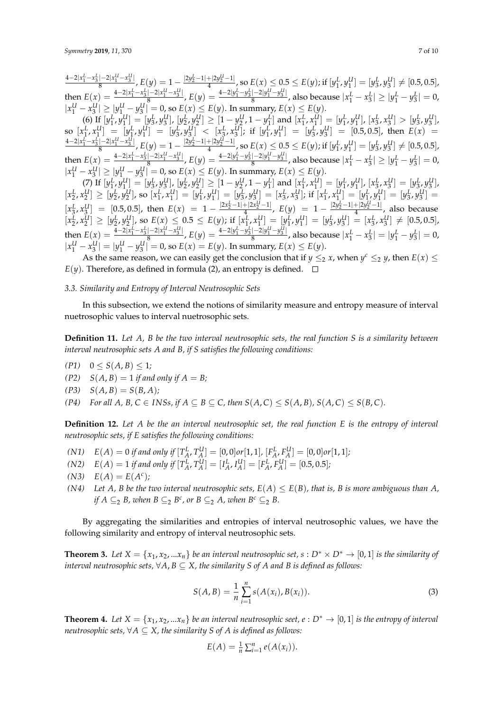$\frac{4-2|x_1^L-x_3^L|-2|x_1^U-x_3^U|}{4}$  $\frac{1-2|x_1^U-x_3^U|}{8}$ ,  $E(y)=1-\frac{|2y_2^L-1|+|2y_2^U-1|}{4}$ , so  $E(x)\leq 0.5\leq E(y)$ ; if  $[y_1^L,y_1^U]=[y_3^L,y_3^U]\neq [0.5,0.5]$ , then  $E(x) = \frac{4-2|x_1^L - x_3^L| - 2|x_1^L - x_3^U|}{8}$  $\frac{(-2|x_1^U - x_3^U|)}{8}$ ,  $E(y) = \frac{4-2|y_1^L - y_3^L| - 2|y_1^U - y_3^U|}{8}$  $\frac{|y_1 - y_3|}{8}$ , also because  $|x_1^L - x_3^L| \ge |y_1^L - y_3^L| = 0$ ,  $|x_1^U - x_3^U| \ge |y_1^U - y_3^U| = 0$ , so  $E(x) \le E(y)$ . In summary,  $E(x) \le E(y)$ .

(6) If  $[y_1^L, y_1^U] = [y_3^L, y_3^U], [y_2^L, y_2^U] \ge [1 - y_2^U, 1 - y_1^L]$  and  $[x_1^L, x_1^U] = [y_1^L, y_1^U], [x_3^L, x_3^U] > [y_3^L, y_3^U],$ so  $[x_1^L, x_1^U] = [y_1^L, y_1^U] = [y_3^L, y_3^U] < [x_3^L, x_3^U]$ ; if  $[y_1^L, y_1^U] = [y_3^L, y_3^U] = [0.5, 0.5]$ , then  $E(x) =$  $\frac{4-2|x_1^L-x_3^L|-2|x_1^U-x_3^U|}{2}$  $\frac{1-2|x_1^U-x_3^U|}{8}$ ,  $E(y)=1-\frac{|2y_2^L-1|+|2y_2^U-1|}{4}$ , so  $E(x)\leq 0.5\leq E(y)$ ; if  $[y_1^L,y_1^U]=[y_3^L,y_3^U]\neq [0.5,0.5]$ , then  $E(x) = \frac{4-2|x_1^L - x_3^L| - 2|x_1^L - x_3^U|}{8}$  $\frac{(-2|x_1^U - x_3^U|)}{8}$ ,  $E(y) = \frac{4-2|y_1^L - y_3^L| - 2|y_1^U - y_3^U|}{8}$  $\frac{|y_1 - y_3|}{8}$ , also because  $|x_1^L - x_3^L| \ge |y_1^L - y_3^L| = 0$ ,  $|x_1^U - x_3^U| \ge |y_1^U - y_3^U| = 0$ , so  $E(x) \le E(y)$ . In summary,  $E(x) \le E(y)$ .

(7) If  $[y_1^L, y_1^U] = [y_2^L, y_3^U], [y_2^L, y_2^U] \ge [1 - y_2^U, 1 - y_1^L]$  and  $[x_1^L, x_1^U] = [y_1^L, y_1^U], [x_2^L, x_3^U] = [y_3^L, y_3^U]$  $[x_2^L, x_2^U] \geq [y_2^L, y_2^U]$ , so  $[x_1^L, x_1^U] = [y_1^L, y_1^U] = [y_3^L, y_3^U] = [x_3^L, x_3^U]$ ; if  $[x_1^L, x_1^U] = [y_1^L, y_1^U] = [y_3^L, y_3^U] =$  $[x_3^L, x_3^U] = [0.5, 0.5]$ , then  $E(x) = 1 - \frac{|2x_2^L - 1| + |2x_2^U - 1|}{4}$ ,  $E(y) = 1 - \frac{|2y_2^L - 1| + |2y_2^U - 1|}{4}$ , also because  $[x_2^L, x_2^U] \geq [y_2^L, y_2^U]$ , so  $E(x) \leq 0.5 \leq E(y)$ ; if  $[x_1^L, x_1^U] = [y_1^L, y_1^U] = [y_3^L, y_3^U] = [x_3^L, x_3^U] \neq [0.5, 0.5]$ , then  $E(x) = \frac{4-2|x_1^L - x_3^L| - 2|x_1^L - x_3^U|}{8}$  $\frac{(-2|x_1^U - x_3^U|)}{8}$ ,  $E(y) = \frac{4-2|y_1^L - y_3^L| - 2|y_1^U - y_3^U|}{8}$  $\frac{|y_1^L - y_3^2|}{8}$ , also because  $|x_1^L - x_3^L| = |y_1^L - y_3^L| = 0$ ,  $|x_1^U - x_3^U| = |y_1^U - y_3^U| = 0$ , so  $E(x) = E(y)$ . In summary,  $E(x) \le E(y)$ .

As the same reason, we can easily get the conclusion that if  $y \leq_2 x$ , when  $y^c \leq_2 y$ , then  $E(x) \leq$  $E(y)$ . Therefore, as defined in formula (2), an entropy is defined.  $\square$ 

#### *3.3. Similarity and Entropy of Interval Neutrosophic Sets*

In this subsection, we extend the notions of similarity measure and entropy measure of interval nuetrosophic values to interval nuetrosophic sets.

**Definition 11.** *Let A, B be the two interval neutrosophic sets, the real function S is a similarity between interval neutrosophic sets A and B, if S satisfies the following conditions:*

- $(P1)$   $0 \leq S(A, B) \leq 1$ *;*
- $(P2)$   $S(A, B) = 1$  *if and only if*  $A = B$ ;
- $(P3)$   $S(A, B) = S(B, A);$

*(P4) For all A, B, C*  $\in$  *INSs, if A*  $\subseteq$  *B*  $\subseteq$  *C, then S*(*A, C*)  $\le$  *S*(*A, B*)*, S*(*A, C*)  $\le$  *S*(*B, C*)*.* 

**Definition 12.** *Let A be the an interval neutrosophic set, the real function E is the entropy of interval neutrosophic sets, if E satisfies the following conditions:*

- (N1)  $E(A) = 0$  if and only if  $[T_A^L, T_A^U] = [0,0]$  or  $[1,1]$ ,  $[F_A^L, F_A^U] = [0,0]$  or  $[1,1]$ ;
- (N2)  $E(A) = 1$  if and only if  $[T_A^L, T_A^U] = [I_A^L, I_A^U] = [F_A^L, F_A^U] = [0.5, 0.5]$ ;
- $E(A) = E(A^c)$ ;
- *(N4)* Let *A*, *B* be the two interval neutrosophic sets,  $E(A) \le E(B)$ , that is, *B* is more ambiguous than *A*, *if*  $A \subseteq_2 B$ , when  $B \subseteq_2 B^c$ , or  $B \subseteq_2 A$ , when  $B^c \subseteq_2 B$ .

By aggregating the similarities and entropies of interval neutrosophic values, we have the following similarity and entropy of interval neutrosophic sets.

**Theorem 3.** Let  $X = \{x_1, x_2, ... x_n\}$  be an interval neutrosophic set,  $s : D^* \times D^* \to [0, 1]$  is the similarity of *interval neutrosophic sets,*  $\forall A, B \subseteq X$ , the similarity S of A and B is defined as follows:

$$
S(A, B) = \frac{1}{n} \sum_{i=1}^{n} s(A(x_i), B(x_i)).
$$
\n(3)

**Theorem 4.** Let  $X = \{x_1, x_2, ... x_n\}$  be an interval neutrosophic seet,  $e : D^* \to [0, 1]$  is the entropy of interval *neutrosophic sets,*  $\forall A \subseteq X$ *, the similarity S of A is defined as follows:* 

$$
E(A) = \frac{1}{n} \sum_{i=1}^{n} e(A(x_i)).
$$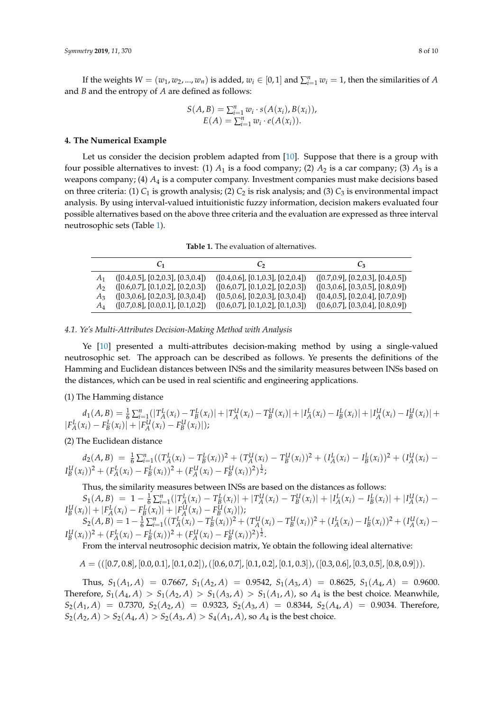If the weights  $W = (w_1, w_2, ..., w_n)$  is added,  $w_i \in [0, 1]$  and  $\sum_{i=1}^{n} w_i = 1$ , then the similarities of *A* and *B* and the entropy of *A* are defined as follows:

$$
S(A, B) = \sum_{i=1}^{n} w_i \cdot s(A(x_i), B(x_i)),
$$
  
 
$$
E(A) = \sum_{i=1}^{n} w_i \cdot e(A(x_i)).
$$

#### <span id="page-7-0"></span>**4. The Numerical Example**

Let us consider the decision problem adapted from [\[10\]](#page-9-4). Suppose that there is a group with four possible alternatives to invest: (1)  $A_1$  is a food company; (2)  $A_2$  is a car company; (3)  $A_3$  is a weapons company; (4) *A*<sup>4</sup> is a computer company. Investment companies must make decisions based on three criteria: (1)  $C_1$  is growth analysis; (2)  $C_2$  is risk analysis; and (3)  $C_3$  is environmental impact analysis. By using interval-valued intuitionistic fuzzy information, decision makers evaluated four possible alternatives based on the above three criteria and the evaluation are expressed as three interval neutrosophic sets (Table [1\)](#page-7-1).

**Table 1.** The evaluation of alternatives.

<span id="page-7-1"></span>

|         | Ů1                                         | C <sub>2</sub>                       | Ūз                                   |
|---------|--------------------------------------------|--------------------------------------|--------------------------------------|
|         | ([0.4, 0.5], [0.2, 0.3], [0.3, 0.4])       | ([0.4, 0.6], [0.1, 0.3], [0.2, 0.4]) | ([0.7, 0.9], [0.2, 0.3], [0.4, 0.5]) |
| $A_{2}$ | ([0.6, 0.7], [0.1, 0.2], [0.2, 0.3])       | ([0.6, 0.7], [0.1, 0.2], [0.2, 0.3]) | ([0.3, 0.6], [0.3, 0.5], [0.8, 0.9]) |
| A3.     | ([0.3, 0.6], [0.2, 0.3], [0.3, 0.4])       | ([0.5, 0.6], [0.2, 0.3], [0.3, 0.4]) | ([0.4, 0.5], [0.2, 0.4], [0.7, 0.9]) |
| $A_4$   | $(0.7, 0.8]$ , $[0.0, 0.1]$ , $[0.1, 0.2]$ | ([0.6, 0.7], [0.1, 0.2], [0.1, 0.3]) | ([0.6, 0.7], [0.3, 0.4], [0.8, 0.9]) |

## *4.1. Ye's Multi-Attributes Decision-Making Method with Analysis*

Ye [\[10\]](#page-9-4) presented a multi-attributes decision-making method by using a single-valued neutrosophic set. The approach can be described as follows. Ye presents the definitions of the Hamming and Euclidean distances between INSs and the similarity measures between INSs based on the distances, which can be used in real scientific and engineering applications.

(1) The Hamming distance

$$
d_1(A, B) = \frac{1}{6} \sum_{i=1}^n (|T_A^L(x_i) - T_B^L(x_i)| + |T_A^U(x_i) - T_B^U(x_i)| + |I_A^L(x_i) - I_B^L(x_i)| + |I_A^U(x_i) - I_B^U(x_i)| + |F_A^L(x_i) - F_B^L(x_i)| + |F_A^L(x_i) - F_B^U(x_i)|);
$$

(2) The Euclidean distance

$$
d_2(A,B) = \frac{1}{6} \sum_{i=1}^n ((T_A^L(x_i) - T_B^L(x_i))^2 + (T_A^U(x_i) - T_B^U(x_i))^2 + (I_A^L(x_i) - I_B^L(x_i))^2 + (I_A^U(x_i) - I_B^L(x_i))^2 + (F_A^L(x_i) - F_B^L(x_i))^2 + (F_A^L(x_i) - F_B^L(x_i))^2
$$

Thus, the similarity measures between INSs are based on the distances as follows:

 $S_1(A, B) = 1 - \frac{1}{6} \sum_{i=1}^n (|T_A^L(x_i) - T_B^L(x_i)| + |T_A^U(x_i) - T_B^U(x_i)| + |I_A^L(x_i) - I_B^L(x_i)| + |I_A^U(x_i) - I_A^L(x_i)|$  $I_B^U(x_i)|+|F_A^L(x_i)-F_B^L(x_i)|+|F_A^U(x_i)-F_B^U(x_i)|$  $S_2(A,B) = 1 - \frac{1}{6} \sum_{i=1}^n ((T_A^L(x_i) - T_B^L(x_i))^2 + (T_A^U(x_i) - T_B^U(x_i))^2 + (I_A^L(x_i) - I_B^L(x_i))^2 + (I_A^U(x_i) - I_A^U(x_i))^2$ 

$$
I_B^U(x_i))^2 + (F_A^L(x_i) - F_B^L(x_i))^2 + (F_A^U(x_i) - F_B^U(x_i))^2)^{\frac{1}{2}}.
$$

From the interval neutrosophic decision matrix, Ye obtain the following ideal alternative:

$$
A = (((0.7, 0.8], [0.0, 0.1], [0.1, 0.2]), ([0.6, 0.7], [0.1, 0.2], [0.1, 0.3]), ([0.3, 0.6], [0.3, 0.5], [0.8, 0.9])).
$$

Thus,  $S_1(A_1, A) = 0.7667$ ,  $S_1(A_2, A) = 0.9542$ ,  $S_1(A_3, A) = 0.8625$ ,  $S_1(A_4, A) = 0.9600$ . Therefore,  $S_1(A_4, A) > S_1(A_2, A) > S_1(A_3, A) > S_1(A_1, A)$ , so  $A_4$  is the best choice. Meanwhile,  $S_2(A_1, A) = 0.7370$ ,  $S_2(A_2, A) = 0.9323$ ,  $S_2(A_3, A) = 0.8344$ ,  $S_2(A_4, A) = 0.9034$ . Therefore,  $S_2(A_2, A) > S_2(A_4, A) > S_2(A_3, A) > S_4(A_1, A)$ , so  $A_4$  is the best choice.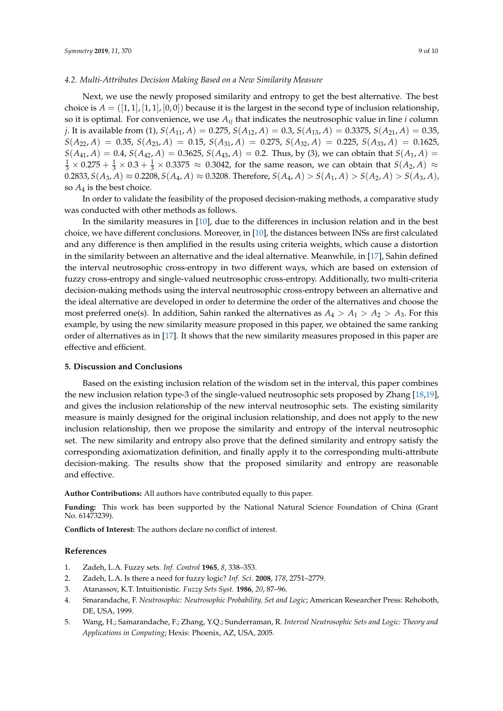## *4.2. Multi-Attributes Decision Making Based on a New Similarity Measure*

Next, we use the newly proposed similarity and entropy to get the best alternative. The best choice is  $A = ([1, 1], [1, 1], [0, 0])$  because it is the largest in the second type of inclusion relationship, so it is optimal. For convenience, we use *Aij* that indicates the neutrosophic value in line *i* column *j*. It is available from (1), *S*(*A*11, *A*) = 0.275, *S*(*A*12, *A*) = 0.3, *S*(*A*13, *A*) = 0.3375, *S*(*A*21, *A*) = 0.35,  $S(A_{22}, A) = 0.35, S(A_{23}, A) = 0.15, S(A_{31}, A) = 0.275, S(A_{32}, A) = 0.225, S(A_{33}, A) = 0.1625,$  $S(A_{41}, A) = 0.4$ ,  $S(A_{42}, A) = 0.3625$ ,  $S(A_{43}, A) = 0.2$ . Thus, by (3), we can obtain that  $S(A_1, A) = 0$  $\frac{1}{3} \times 0.275 + \frac{1}{3} \times 0.3 + \frac{1}{3} \times 0.3375 \approx 0.3042$ , for the same reason, we can obtain that  $S(A_2, A) \approx$  $0.2833, S(A_3, A) \approx 0.2208, S(A_4, A) \approx 0.3208$ . Therefore,  $S(A_4, A) > S(A_1, A) > S(A_2, A) > S(A_3, A)$ , so  $A_4$  is the best choice.

In order to validate the feasibility of the proposed decision-making methods, a comparative study was conducted with other methods as follows.

In the similarity measures in [\[10\]](#page-9-4), due to the differences in inclusion relation and in the best choice, we have different conclusions. Moreover, in [\[10\]](#page-9-4), the distances between INSs are first calculated and any difference is then amplified in the results using criteria weights, which cause a distortion in the similarity between an alternative and the ideal alternative. Meanwhile, in [\[17\]](#page-9-11), Sahin defined the interval neutrosophic cross-entropy in two different ways, which are based on extension of fuzzy cross-entropy and single-valued neutrosophic cross-entropy. Additionally, two multi-criteria decision-making methods using the interval neutrosophic cross-entropy between an alternative and the ideal alternative are developed in order to determine the order of the alternatives and choose the most preferred one(s). In addition, Sahin ranked the alternatives as  $A_4 > A_1 > A_2 > A_3$ . For this example, by using the new similarity measure proposed in this paper, we obtained the same ranking order of alternatives as in [\[17\]](#page-9-11). It shows that the new similarity measures proposed in this paper are effective and efficient.

#### **5. Discussion and Conclusions**

Based on the existing inclusion relation of the wisdom set in the interval, this paper combines the new inclusion relation type-3 of the single-valued neutrosophic sets proposed by Zhang [\[18,](#page-9-12)[19\]](#page-9-13), and gives the inclusion relationship of the new interval neutrosophic sets. The existing similarity measure is mainly designed for the original inclusion relationship, and does not apply to the new inclusion relationship, then we propose the similarity and entropy of the interval neutrosophic set. The new similarity and entropy also prove that the defined similarity and entropy satisfy the corresponding axiomatization definition, and finally apply it to the corresponding multi-attribute decision-making. The results show that the proposed similarity and entropy are reasonable and effective.

**Author Contributions:** All authors have contributed equally to this paper.

**Funding:** This work has been supported by the National Natural Science Foundation of China (Grant No. 61473239).

**Conflicts of Interest:** The authors declare no conflict of interest.

#### **References**

- <span id="page-8-0"></span>1. Zadeh, L.A. Fuzzy sets. *Inf. Control* **1965**, *8*, 338–353.
- <span id="page-8-1"></span>2. Zadeh, L.A. Is there a need for fuzzy logic? *Inf. Sci.* **2008**, *178*, 2751–2779.
- <span id="page-8-2"></span>3. Atanassov, K.T. Intuitionistic. *Fuzzy Sets Syst.* **1986**, *20*, 87–96.
- <span id="page-8-3"></span>4. Smarandache, F. *Neutrosophic: Neutrosophic Probability, Set and Logic*; American Researcher Press: Rehoboth, DE, USA, 1999.
- <span id="page-8-4"></span>5. Wang, H.; Samarandache, F.; Zhang, Y.Q.; Sunderraman, R. *Interval Neutrosophic Sets and Logic: Theory and Applications in Conputing*; Hexis: Phoenix, AZ, USA, 2005.